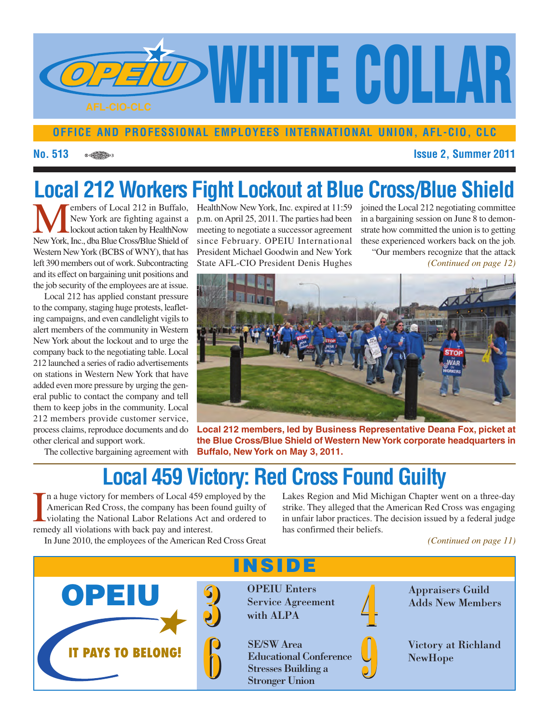

#### **OFFICE AND PROFESSIONAL EMPLOYEES INTERNATIONAL UNION, AFL-CIO, CLC**

**No. 513 Issue 2, Summer 2011**

# **Local 212 Workers Fight Lockout at Blue Cross/Blue Shield**

Members of Local 212 in Buffalo,<br>
New York are fighting against a<br>
New York, Inc., dba Blue Cross/Blue Shield of New York are fighting against a lockout action taken by HealthNow Western NewYork (BCBS of WNY), that has left 390 members out of work. Subcontracting and its effect on bargaining unit positions and the job security of the employees are at issue.

Local 212 has applied constant pressure to the company, staging huge protests, leafleting campaigns, and even candlelight vigils to alert members of the community in Western New York about the lockout and to urge the company back to the negotiating table. Local 212 launched a series of radio advertisements on stations in Western New York that have added even more pressure by urging the general public to contact the company and tell them to keep jobs in the community. Local 212 members provide customer service, process claims, reproduce documents and do other clerical and support work.

The collective bargaining agreement with

HealthNow New York, Inc. expired at 11:59 joined the Local 212 negotiating committee p.m. on April 25, 2011. The parties had been meeting to negotiate a successor agreement since February. OPEIU International President Michael Goodwin and New York State AFL-CIO President Denis Hughes *(Continued on page 12)*

in a bargaining session on June 8 to demonstrate how committed the union is to getting these experienced workers back on the job. "Our members recognize that the attack



**Local 212 members, led by Business Representative Deana Fox, picket at the Blue Cross/Blue Shield of Western NewYork corporate headquarters in Buffalo, New York on May 3, 2011.**

## **Local 459 Victory: Red Cross Found Guilty**

**INSIDE**

In a huge victory for members of Local 459 en<br>American Red Cross, the company has been 1<br>violating the National Labor Relations Act a<br>remedy all violations with back pay and interest. n a huge victory for members of Local 459 employed by the American Red Cross, the company has been found guilty of violating the National Labor Relations Act and ordered to

In June 2010, the employees of the American Red Cross Great

Lakes Region and Mid Michigan Chapter went on a three-day strike. They alleged that the American Red Cross was engaging in unfair labor practices. The decision issued by a federal judge has confirmed their beliefs.

*(Continued on page 11)*



**3** OPEIU Enters<br>Service Agreen<br>with ALPA Service Agreement with ALPA

SE/SW Area Educational Conference Stresses Building a Stronger Union  ${\bf \large \int \begin{matrix} \bf{SL}/SW~Area & \bf{E}ducational~Conference & \bf{S} \cr \bf{E}ducational~Conference & \bf{S} \cr \bf{S}tresses~Building~a & \bf{S} \cr \bf{S}tropger~Union & \end{matrix} }$ 



Appraisers Guild Adds New Members



Victory at Richland NewHope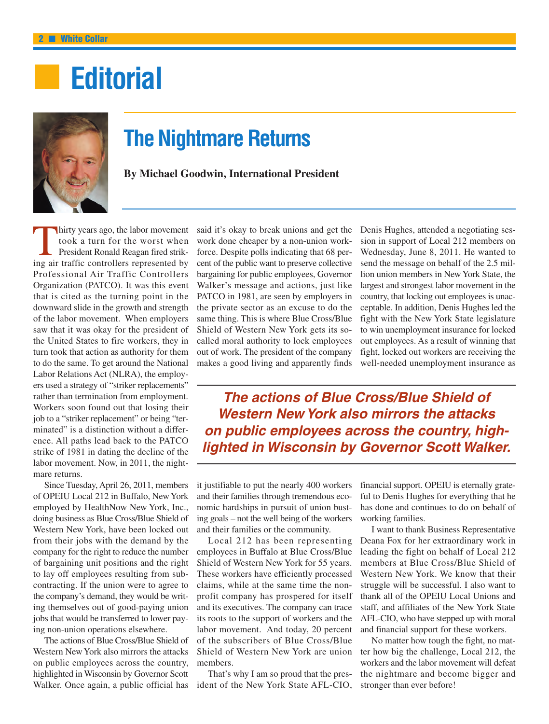# **■ Editorial**



## **The Nightmare Returns**

**By Michael Goodwin, International President**

hirty years ago, the labor movement took a turn for the worst when President Ronald Reagan fired striking air traffic controllers represented by Professional Air Traffic Controllers Organization (PATCO). It was this event that is cited as the turning point in the downward slide in the growth and strength of the labor movement. When employers saw that it was okay for the president of the United States to fire workers, they in turn took that action as authority for them to do the same. To get around the National Labor Relations Act (NLRA), the employers used a strategy of "striker replacements" rather than termination from employment. Workers soon found out that losing their job to a "striker replacement" or being "terminated" is a distinction without a difference. All paths lead back to the PATCO strike of 1981 in dating the decline of the labor movement. Now, in 2011, the nightmare returns.

Since Tuesday, April 26, 2011, members of OPEIU Local 212 in Buffalo, New York employed by HealthNow New York, Inc., doing business as Blue Cross/Blue Shield of Western New York, have been locked out from their jobs with the demand by the company for the right to reduce the number of bargaining unit positions and the right to lay off employees resulting from subcontracting. If the union were to agree to the company's demand, they would be writing themselves out of good-paying union jobs that would be transferred to lower paying non-union operations elsewhere.

The actions of Blue Cross/Blue Shield of Western New York also mirrors the attacks on public employees across the country, highlighted in Wisconsin by Governor Scott Walker. Once again, a public official has said it's okay to break unions and get the work done cheaper by a non-union workforce. Despite polls indicating that 68 percent of the public want to preserve collective bargaining for public employees, Governor Walker's message and actions, just like PATCO in 1981, are seen by employers in the private sector as an excuse to do the same thing. This is where Blue Cross/Blue Shield of Western New York gets its socalled moral authority to lock employees out of work. The president of the company makes a good living and apparently finds Denis Hughes, attended a negotiating session in support of Local 212 members on Wednesday, June 8, 2011. He wanted to send the message on behalf of the 2.5 million union members in New York State, the largest and strongest labor movement in the country, that locking out employees is unacceptable. In addition, Denis Hughes led the fight with the New York State legislature to win unemployment insurance for locked out employees. As a result of winning that fight, locked out workers are receiving the well-needed unemployment insurance as

*The actions of Blue Cross/Blue Shield of Western New York also mirrors the attacks on public employees across the country, highlighted in Wisconsin by Governor Scott Walker.*

it justifiable to put the nearly 400 workers and their families through tremendous economic hardships in pursuit of union busting goals – not the well being of the workers and their families or the community.

Local 212 has been representing employees in Buffalo at Blue Cross/Blue Shield of Western New York for 55 years. These workers have efficiently processed claims, while at the same time the nonprofit company has prospered for itself and its executives. The company can trace its roots to the support of workers and the labor movement. And today, 20 percent of the subscribers of Blue Cross/Blue Shield of Western New York are union members.

That's why I am so proud that the president of the New York State AFL-CIO, financial support. OPEIU is eternally grateful to Denis Hughes for everything that he has done and continues to do on behalf of working families.

I want to thank Business Representative Deana Fox for her extraordinary work in leading the fight on behalf of Local 212 members at Blue Cross/Blue Shield of Western New York. We know that their struggle will be successful. I also want to thank all of the OPEIU Local Unions and staff, and affiliates of the New York State AFL-CIO, who have stepped up with moral and financial support for these workers.

No matter how tough the fight, no matter how big the challenge, Local 212, the workers and the labor movement will defeat the nightmare and become bigger and stronger than ever before!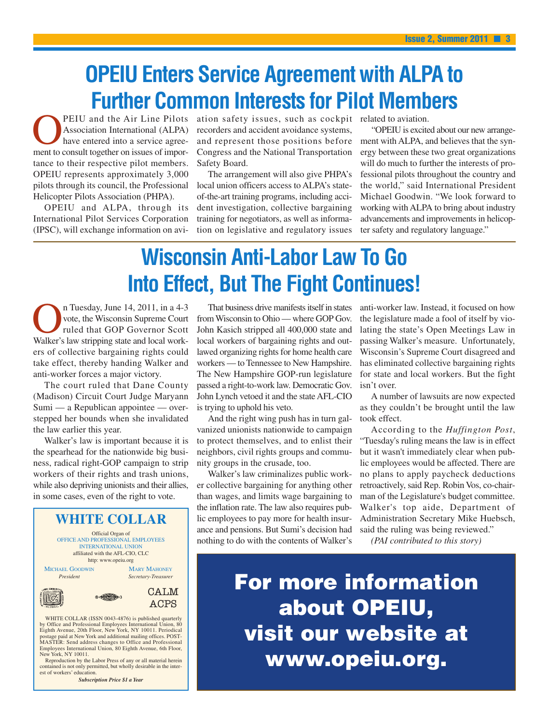# **OPEIU Enters Service Agreement with ALPA to Further Common Interests for Pilot Members**

PEIU and the Air Line Pilots Association International (ALPA) have entered into a service agreement to consult together on issues of importance to their respective pilot members. OPEIU represents approximately 3,000 pilots through its council, the Professional Helicopter Pilots Association (PHPA).

OPEIU and ALPA, through its International Pilot Services Corporation (IPSC), will exchange information on avi-

ation safety issues, such as cockpit related to aviation. recorders and accident avoidance systems, and represent those positions before Congress and the National Transportation Safety Board.

The arrangement will also give PHPA's local union officers access to ALPA's stateof-the-art training programs, including accident investigation, collective bargaining training for negotiators, as well as information on legislative and regulatory issues

"OPEIU is excited about our new arrangement with ALPA, and believes that the synergy between these two great organizations will do much to further the interests of professional pilots throughout the country and the world," said International President Michael Goodwin. "We look forward to working with ALPA to bring about industry advancements and improvements in helicopter safety and regulatory language."

# **Wisconsin Anti-Labor Law To Go Into Effect, But The Fight Continues!**

Tuesday, June 14, 2011, in a 4-3<br>vote, the Wisconsin Supreme Court<br>ruled that GOP Governor Scott<br>Walker's law stripping state and local workvote, the Wisconsin Supreme Court ruled that GOP Governor Scott Walker's law stripping state and local workers of collective bargaining rights could take effect, thereby handing Walker and anti-worker forces a major victory.

The court ruled that Dane County (Madison) Circuit Court Judge Maryann Sumi — a Republican appointee — overstepped her bounds when she invalidated the law earlier this year.

Walker's law is important because it is the spearhead for the nationwide big business, radical right-GOP campaign to strip workers of their rights and trash unions, while also depriving unionists and their allies, in some cases, even of the right to vote.



WHITE COLLAR (ISSN 0043-4876) is published quarterly by Office and Professional Employees International Union, 80<br>Eighth Avenue, 20th Floor, New York, NY 10011. Periodical<br>postage paid at New York and additional mailing offices. POST-<br>MASTER: Send address changes to Office a Employees International Union, 80 Eighth Avenue, 6th Floor, New York, NY 10011.

Reproduction by the Labor Press of any or all material herein contained is not only permitted, but wholly desirable in the interest of workers' education.

*Subscription Price \$1 a Year*

That business drive manifests itself in states from Wisconsin to Ohio — where GOP Gov. John Kasich stripped all 400,000 state and local workers of bargaining rights and outlawed organizing rights for home health care workers — to Tennessee to New Hampshire. The New Hampshire GOP-run legislature passed a right-to-work law. Democratic Gov. John Lynch vetoed it and the state AFL-CIO is trying to uphold his veto.

And the right wing push has in turn galvanized unionists nationwide to campaign to protect themselves, and to enlist their neighbors, civil rights groups and community groups in the crusade, too.

Walker's law criminalizes public worker collective bargaining for anything other than wages, and limits wage bargaining to the inflation rate. The law also requires public employees to pay more for health insurance and pensions. But Sumi's decision had nothing to do with the contents of Walker's anti-worker law. Instead, it focused on how the legislature made a fool of itself by violating the state's Open Meetings Law in passing Walker's measure. Unfortunately, Wisconsin's Supreme Court disagreed and has eliminated collective bargaining rights for state and local workers. But the fight isn't over.

A number of lawsuits are now expected as they couldn't be brought until the law took effect.

According to the *Huffington Post*, "Tuesday's ruling means the law is in effect but it wasn't immediately clear when public employees would be affected. There are no plans to apply paycheck deductions retroactively, said Rep. Robin Vos, co-chairman of the Legislature's budget committee. Walker's top aide, Department of Administration Secretary Mike Huebsch, said the ruling was being reviewed."

*(PAI contributed to this story)*

**For more information about OPEIU, visit our website at www.opeiu.org.**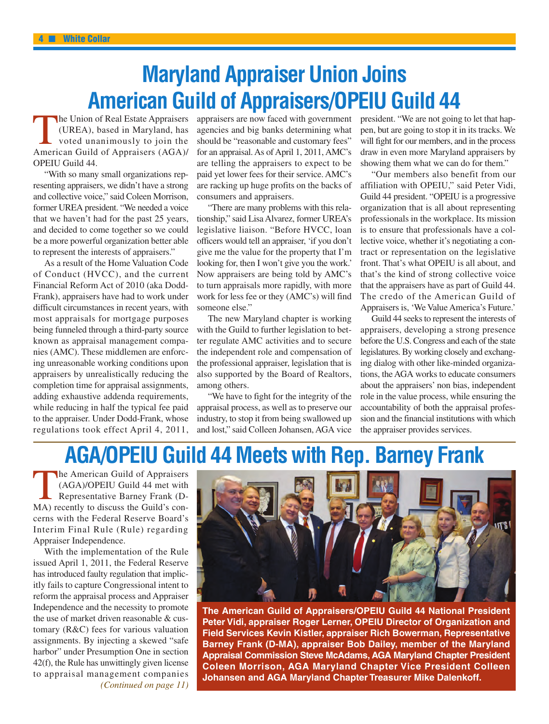# **Maryland Appraiser Union Joins American Guild of Appraisers/OPEIU Guild 44**

The Union of Real Estate Appraisers (UREA), based in Maryland, has voted unanimously to join the American Guild of Appraisers (AGA)/ OPEIU Guild 44.

"With so many small organizations representing appraisers, we didn't have a strong and collective voice," said Coleen Morrison, former UREA president. "We needed a voice that we haven't had for the past 25 years, and decided to come together so we could be a more powerful organization better able to represent the interests of appraisers."

As a result of the Home Valuation Code of Conduct (HVCC), and the current Financial Reform Act of 2010 (aka Dodd-Frank), appraisers have had to work under difficult circumstances in recent years, with most appraisals for mortgage purposes being funneled through a third-party source known as appraisal management companies (AMC). These middlemen are enforcing unreasonable working conditions upon appraisers by unrealistically reducing the completion time for appraisal assignments, adding exhaustive addenda requirements, while reducing in half the typical fee paid to the appraiser. Under Dodd-Frank, whose regulations took effect April 4, 2011,

appraisers are now faced with government agencies and big banks determining what should be "reasonable and customary fees" for an appraisal. As of April 1, 2011, AMC's are telling the appraisers to expect to be paid yet lower fees for their service. AMC's are racking up huge profits on the backs of consumers and appraisers.

"There are many problems with this relationship," said Lisa Alvarez, former UREA's legislative liaison. "Before HVCC, loan officers would tell an appraiser, 'if you don't give me the value for the property that I'm looking for, then I won't give you the work.' Now appraisers are being told by AMC's to turn appraisals more rapidly, with more work for less fee or they (AMC's) will find someone else."

The new Maryland chapter is working with the Guild to further legislation to better regulate AMC activities and to secure the independent role and compensation of the professional appraiser, legislation that is also supported by the Board of Realtors, among others.

"We have to fight for the integrity of the appraisal process, as well as to preserve our industry, to stop it from being swallowed up and lost," said Colleen Johansen, AGA vice president. "We are not going to let that happen, but are going to stop it in its tracks. We will fight for our members, and in the process draw in even more Maryland appraisers by showing them what we can do for them."

"Our members also benefit from our affiliation with OPEIU," said Peter Vidi, Guild 44 president. "OPEIU is a progressive organization that is all about representing professionals in the workplace. Its mission is to ensure that professionals have a collective voice, whether it's negotiating a contract or representation on the legislative front. That's what OPEIU is all about, and that's the kind of strong collective voice that the appraisers have as part of Guild 44. The credo of the American Guild of Appraisers is, 'We Value America's Future.'

Guild 44 seeks to represent the interests of appraisers, developing a strong presence before the U.S. Congress and each of the state legislatures. By working closely and exchanging dialog with other like-minded organizations, the AGA works to educate consumers about the appraisers' non bias, independent role in the value process, while ensuring the accountability of both the appraisal profession and the financial institutions with which the appraiser provides services.

## **AGA/OPEIU Guild 44 Meets with Rep. Barney Frank**

**The American Guild of Appraisers** (AGA)/OPEIU Guild 44 met with Representative Barney Frank (D-MA) recently to discuss the Guild's concerns with the Federal Reserve Board's Interim Final Rule (Rule) regarding Appraiser Independence.

With the implementation of the Rule issued April 1, 2011, the Federal Reserve has introduced faulty regulation that implicitly fails to capture Congressional intent to reform the appraisal process and Appraiser Independence and the necessity to promote the use of market driven reasonable & customary (R&C) fees for various valuation assignments. By injecting a skewed "safe harbor" under Presumption One in section 42(f), the Rule has unwittingly given license to appraisal management companies *(Continued on page 11)*



**The American Guild of Appraisers/OPEIU Guild 44 National President Peter Vidi, appraiser Roger Lerner, OPEIU Director of Organization and Field Services Kevin Kistler, appraiser Rich Bowerman, Representative Barney Frank (D-MA), appraiser Bob Dailey, member of the Maryland Appraisal Commission Steve McAdams, AGA Maryland Chapter President Coleen Morrison, AGA Maryland Chapter Vice President Colleen Johansen and AGA Maryland Chapter Treasurer Mike Dalenkoff.**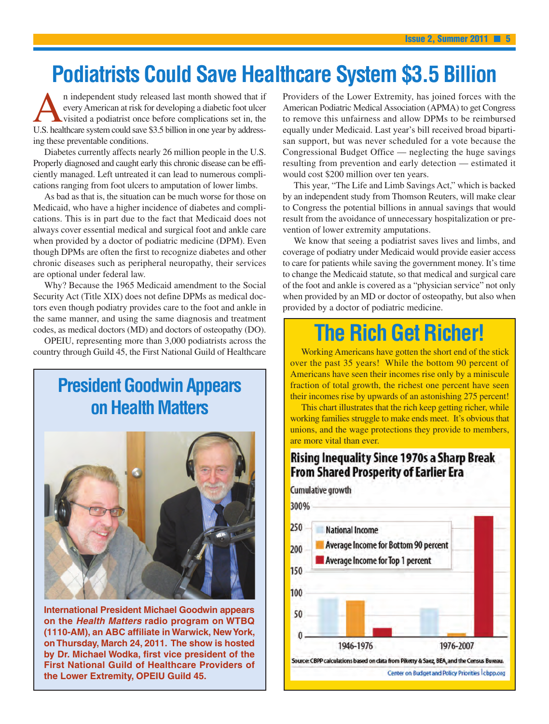# **Podiatrists Could Save Healthcare System \$3.5 Billion**

n independent study released last month showed that if<br>every American at risk for developing a diabetic foot ulcer<br>visited a podiatrist once before complications set in, the<br>ILS healthcare system could save \$3.5 billion in every American at risk for developing a diabetic foot ulcer visited a podiatrist once before complications set in, the U.S. healthcare system could save \$3.5 billion in one year by addressing these preventable conditions.

Diabetes currently affects nearly 26 million people in the U.S. Properly diagnosed and caught early this chronic disease can be efficiently managed. Left untreated it can lead to numerous complications ranging from foot ulcers to amputation of lower limbs.

As bad as that is, the situation can be much worse for those on Medicaid, who have a higher incidence of diabetes and complications. This is in part due to the fact that Medicaid does not always cover essential medical and surgical foot and ankle care when provided by a doctor of podiatric medicine (DPM). Even though DPMs are often the first to recognize diabetes and other chronic diseases such as peripheral neuropathy, their services are optional under federal law.

Why? Because the 1965 Medicaid amendment to the Social Security Act (Title XIX) does not define DPMs as medical doctors even though podiatry provides care to the foot and ankle in the same manner, and using the same diagnosis and treatment codes, as medical doctors (MD) and doctors of osteopathy (DO).

OPEIU, representing more than 3,000 podiatrists across the country through Guild 45, the First National Guild of Healthcare

## **President Goodwin Appears on Health Matters**



**International President Michael Goodwin appears on the** *Health Matters* **radio program on WTBQ (1110-AM), an ABC affiliate in Warwick, NewYork, on Thursday, March 24, 2011. The show is hosted by Dr. Michael Wodka, first vice president of the First National Guild of Healthcare Providers of the Lower Extremity, OPEIU Guild 45.**

Providers of the Lower Extremity, has joined forces with the American Podiatric Medical Association (APMA) to get Congress to remove this unfairness and allow DPMs to be reimbursed equally under Medicaid. Last year's bill received broad bipartisan support, but was never scheduled for a vote because the Congressional Budget Office — neglecting the huge savings resulting from prevention and early detection — estimated it would cost \$200 million over ten years.

This year, "The Life and Limb Savings Act," which is backed by an independent study from Thomson Reuters, will make clear to Congress the potential billions in annual savings that would result from the avoidance of unnecessary hospitalization or prevention of lower extremity amputations.

We know that seeing a podiatrist saves lives and limbs, and coverage of podiatry under Medicaid would provide easier access to care for patients while saving the government money. It's time to change the Medicaid statute, so that medical and surgical care of the foot and ankle is covered as a "physician service" not only when provided by an MD or doctor of osteopathy, but also when provided by a doctor of podiatric medicine.

# **The Rich Get Richer!**

Working Americans have gotten the short end of the stick over the past 35 years! While the bottom 90 percent of Americans have seen their incomes rise only by a miniscule fraction of total growth, the richest one percent have seen their incomes rise by upwards of an astonishing 275 percent!

This chart illustrates that the rich keep getting richer, while working families struggle to make ends meet. It's obvious that unions, and the wage protections they provide to members, are more vital than ever.

### **Rising Inequality Since 1970s a Sharp Break From Shared Prosperity of Earlier Era**

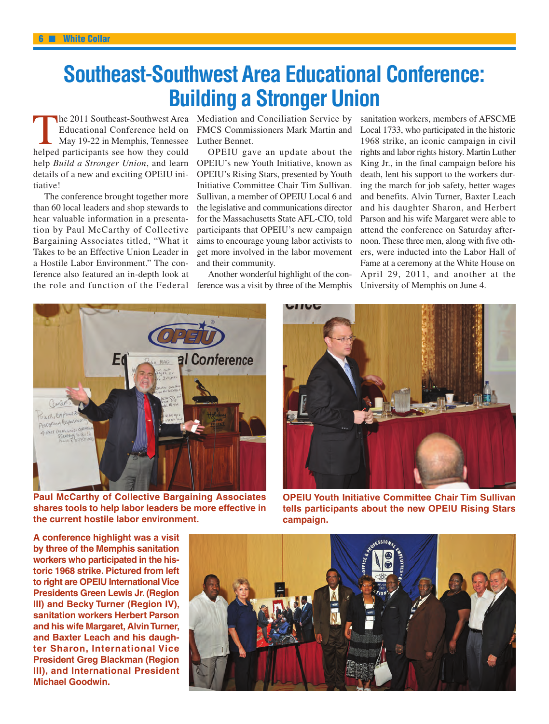# **Southeast-Southwest Area Educational Conference: Building a Stronger Union**

The 2011 Southeast-Southwest Area<br>Educational Conference held on<br>May 19-22 in Memphis, Tennessee<br>helped participants see how they could Educational Conference held on May 19-22 in Memphis, Tennessee helped participants see how they could help *Build a Stronger Union*, and learn details of a new and exciting OPEIU initiative!

The conference brought together more than 60 local leaders and shop stewards to hear valuable information in a presentation by Paul McCarthy of Collective Bargaining Associates titled, "What it Takes to be an Effective Union Leader in a Hostile Labor Environment." The conference also featured an in-depth look at the role and function of the Federal

Mediation and Conciliation Service by FMCS Commissioners Mark Martin and Luther Bennet.

OPEIU gave an update about the OPEIU's new Youth Initiative, known as OPEIU's Rising Stars, presented by Youth Initiative Committee Chair Tim Sullivan. Sullivan, a member of OPEIU Local 6 and the legislative and communications director for the Massachusetts State AFL-CIO, told participants that OPEIU's new campaign aims to encourage young labor activists to get more involved in the labor movement and their community.

Another wonderful highlight of the conference was a visit by three of the Memphis sanitation workers, members of AFSCME Local 1733, who participated in the historic 1968 strike, an iconic campaign in civil rights and labor rights history. Martin Luther King Jr., in the final campaign before his death, lent his support to the workers during the march for job safety, better wages and benefits. Alvin Turner, Baxter Leach and his daughter Sharon, and Herbert Parson and his wife Margaret were able to attend the conference on Saturday afternoon. These three men, along with five others, were inducted into the Labor Hall of Fame at a ceremony at the White House on April 29, 2011, and another at the University of Memphis on June 4.



**Paul McCarthy of Collective Bargaining Associates shares tools to help labor leaders be more effective in the current hostile labor environment.**

**OPEIU Youth Initiative Committee Chair Tim Sullivan tells participants about the new OPEIU Rising Stars campaign.**

**A conference highlight was a visit by three of the Memphis sanitation workers who participated in the historic 1968 strike. Pictured from left** to right are **OPEIU** International Vice **Presidents Green Lewis Jr. (Region III) and Becky Turner (Region IV), sanitation workers Herbert Parson and his wife Margaret, AlvinTurner, and Baxter Leach and his daughter Sharon, International Vice President Greg Blackman (Region III), and International President Michael Goodwin.**

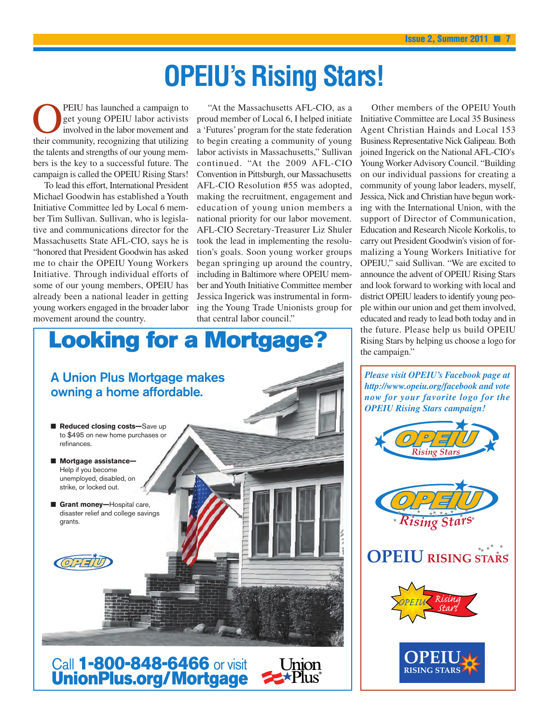# **OPEIU's Rising Stars!**

**OPEIU** has launched a campaign to<br>get young OPEIU labor activists<br>involved in the labor movement and<br>their community recognizing that utilizing get young OPEIU labor activists involved in the labor movement and their community, recognizing that utilizing the talents and strengths of our young members is the key to a successful future. The campaign is called the OPEIU Rising Stars!

To lead this effort, International President Michael Goodwin has established a Youth Initiative Committee led by Local 6 member Tim Sullivan. Sullivan, who is legislative and communications director for the Massachusetts State AFL-CIO, says he is "honored that President Goodwin has asked me to chair the OPEIU Young Workers Initiative. Through individual efforts of some of our young members, OPEIU has already been a national leader in getting young workers engaged in the broader labor movement around the country.

"At the Massachusetts AFL-CIO, as a proud member of Local 6, I helped initiate a 'Futures' program for the state federation to begin creating a community of young labor activists in Massachusetts," Sullivan continued. "At the 2009 AFL-CIO Convention in Pittsburgh, our Massachusetts AFL-CIO Resolution #55 was adopted, making the recruitment, engagement and education of young union members a national priority for our labor movement. AFL-CIO Secretary-Treasurer Liz Shuler took the lead in implementing the resolution's goals. Soon young worker groups began springing up around the country, including in Baltimore where OPEIU member andYouth Initiative Committee member Jessica Ingerick was instrumental in forming the Young Trade Unionists group for that central labor council."



Other members of the OPEIU Youth Initiative Committee are Local 35 Business Agent Christian Hainds and Local 153 Business Representative Nick Galipeau. Both joined Ingerick on the National AFL-CIO's Young Worker Advisory Council. "Building on our individual passions for creating a community of young labor leaders, myself, Jessica, Nick and Christian have begun working with the International Union, with the support of Director of Communication, Education and Research Nicole Korkolis, to carry out President Goodwin's vision of formalizing a Young Workers Initiative for OPEIU," said Sullivan. "We are excited to announce the advent of OPEIU Rising Stars and look forward to working with local and district OPEIU leaders to identify young people within our union and get them involved, educated and ready to lead both today and in the future. Please help us build OPEIU Rising Stars by helping us choose a logo for the campaign."

*Please visit OPEIU's Facebook page at http://www.opeiu.org/facebook and vote now for your favorite logo for the OPEIU Rising Stars campaign!*

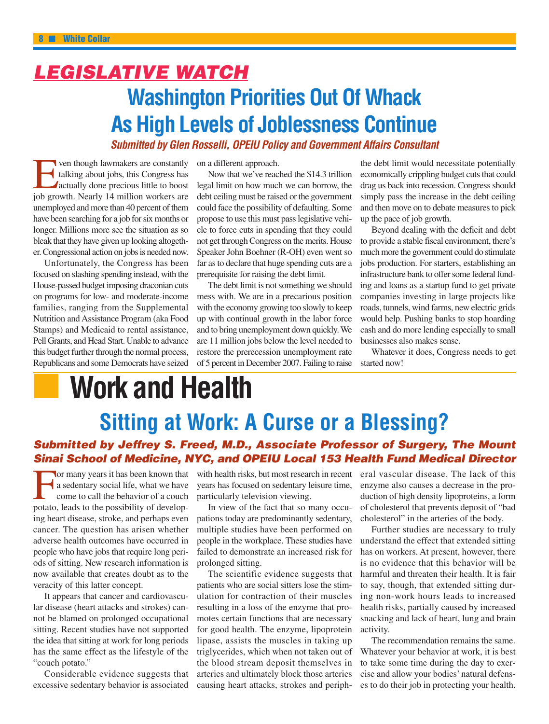## *LEGISLATIVE WATCH* **Washington Priorities Out Of Whack As High Levels of Joblessness Continue** *Submitted by Glen Rosselli, OPEIU Policy and Government Affairs Consultant*

For though lawmakers are constantly<br>talking about jobs, this Congress has<br>actually done precious little to boost<br>iob growth Nearly 14 million workers are talking about jobs, this Congress has actually done precious little to boost job growth. Nearly 14 million workers are unemployed and more than 40 percent of them have been searching for a job for six months or longer. Millions more see the situation as so bleak that they have given up looking altogether. Congressional action on jobs is needed now.

Unfortunately, the Congress has been focused on slashing spending instead, with the House-passed budget imposing draconian cuts on programs for low- and moderate-income families, ranging from the Supplemental Nutrition and Assistance Program (aka Food Stamps) and Medicaid to rental assistance, Pell Grants, and Head Start. Unable to advance this budget further through the normal process, Republicans and some Democrats have seized

on a different approach.

Now that we've reached the \$14.3 trillion legal limit on how much we can borrow, the debt ceiling must be raised or the government could face the possibility of defaulting. Some propose to use this must pass legislative vehicle to force cuts in spending that they could not get through Congress on the merits. House Speaker John Boehner (R-OH) even went so far as to declare that huge spending cuts are a prerequisite for raising the debt limit.

The debt limit is not something we should mess with. We are in a precarious position with the economy growing too slowly to keep up with continual growth in the labor force and to bring unemployment down quickly. We are 11 million jobs below the level needed to restore the prerecession unemployment rate of 5 percent in December 2007. Failing to raise

the debt limit would necessitate potentially economically crippling budget cuts that could drag us back into recession. Congress should simply pass the increase in the debt ceiling and then move on to debate measures to pick up the pace of job growth.

Beyond dealing with the deficit and debt to provide a stable fiscal environment, there's much more the government could do stimulate jobs production. For starters, establishing an infrastructure bank to offer some federal funding and loans as a startup fund to get private companies investing in large projects like roads, tunnels, wind farms, new electric grids would help. Pushing banks to stop hoarding cash and do more lending especially to small businesses also makes sense.

Whatever it does, Congress needs to get started now!

# **■ Work and Health**

# **Sitting at Work: A Curse or a Blessing?**

#### *Submitted by Jeffrey S. Freed, M.D., Associate Professor of Surgery, The Mount Sinai School of Medicine, NYC, and OPEIU Local 153 Health Fund Medical Director*

For many years it has been known that a sedentary social life, what we have come to call the behavior of a couch potato, leads to the possibility of developing heart disease, stroke, and perhaps even cancer. The question has arisen whether adverse health outcomes have occurred in people who have jobs that require long periods of sitting. New research information is now available that creates doubt as to the veracity of this latter concept.

It appears that cancer and cardiovascular disease (heart attacks and strokes) cannot be blamed on prolonged occupational sitting. Recent studies have not supported the idea that sitting at work for long periods has the same effect as the lifestyle of the "couch potato."

Considerable evidence suggests that excessive sedentary behavior is associated

years has focused on sedentary leisure time, particularly television viewing.

In view of the fact that so many occupations today are predominantly sedentary, multiple studies have been performed on people in the workplace. These studies have failed to demonstrate an increased risk for prolonged sitting.

The scientific evidence suggests that patients who are social sitters lose the stimulation for contraction of their muscles resulting in a loss of the enzyme that promotes certain functions that are necessary for good health. The enzyme, lipoprotein lipase, assists the muscles in taking up triglycerides, which when not taken out of the blood stream deposit themselves in arteries and ultimately block those arteries causing heart attacks, strokes and periph-

with health risks, but most research in recent eral vascular disease. The lack of this enzyme also causes a decrease in the production of high density lipoproteins, a form of cholesterol that prevents deposit of "bad cholesterol" in the arteries of the body.

> Further studies are necessary to truly understand the effect that extended sitting has on workers. At present, however, there is no evidence that this behavior will be harmful and threaten their health. It is fair to say, though, that extended sitting during non-work hours leads to increased health risks, partially caused by increased snacking and lack of heart, lung and brain activity.

> The recommendation remains the same. Whatever your behavior at work, it is best to take some time during the day to exercise and allow your bodies' natural defenses to do their job in protecting your health.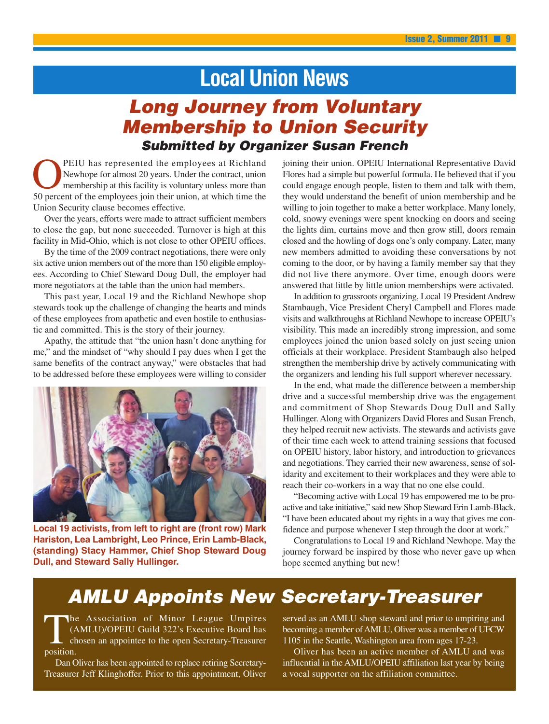## **Local Union News**

### *Long Journey from Voluntary Membership to Union Security Submitted by Organizer Susan French*

PEIU has represented the employees at Richland Newhope for almost 20 years. Under the contract, union membership at this facility is voluntary unless more than 50 percent of the employees join their union, at which time the Union Security clause becomes effective.

Over the years, efforts were made to attract sufficient members to close the gap, but none succeeded. Turnover is high at this facility in Mid-Ohio, which is not close to other OPEIU offices.

By the time of the 2009 contract negotiations, there were only six active union members out of the more than 150 eligible employees. According to Chief Steward Doug Dull, the employer had more negotiators at the table than the union had members.

This past year, Local 19 and the Richland Newhope shop stewards took up the challenge of changing the hearts and minds of these employees from apathetic and even hostile to enthusiastic and committed. This is the story of their journey.

Apathy, the attitude that "the union hasn't done anything for me," and the mindset of "why should I pay dues when I get the same benefits of the contract anyway," were obstacles that had to be addressed before these employees were willing to consider



**Local 19 activists, from left to right are (front row) Mark Hariston, Lea Lambright, Leo Prince, Erin Lamb-Black, (standing) Stacy Hammer, Chief Shop Steward Doug Dull, and Steward Sally Hullinger.**

joining their union. OPEIU International Representative David Flores had a simple but powerful formula. He believed that if you could engage enough people, listen to them and talk with them, they would understand the benefit of union membership and be willing to join together to make a better workplace. Many lonely, cold, snowy evenings were spent knocking on doors and seeing the lights dim, curtains move and then grow still, doors remain closed and the howling of dogs one's only company. Later, many new members admitted to avoiding these conversations by not coming to the door, or by having a family member say that they did not live there anymore. Over time, enough doors were answered that little by little union memberships were activated.

In addition to grassroots organizing, Local 19 President Andrew Stambaugh, Vice President Cheryl Campbell and Flores made visits and walkthroughs at Richland Newhope to increase OPEIU's visibility. This made an incredibly strong impression, and some employees joined the union based solely on just seeing union officials at their workplace. President Stambaugh also helped strengthen the membership drive by actively communicating with the organizers and lending his full support wherever necessary.

In the end, what made the difference between a membership drive and a successful membership drive was the engagement and commitment of Shop Stewards Doug Dull and Sally Hullinger. Along with Organizers David Flores and Susan French, they helped recruit new activists. The stewards and activists gave of their time each week to attend training sessions that focused on OPEIU history, labor history, and introduction to grievances and negotiations. They carried their new awareness, sense of solidarity and excitement to their workplaces and they were able to reach their co-workers in a way that no one else could.

"Becoming active with Local 19 has empowered me to be proactive and take initiative," said new Shop Steward Erin Lamb-Black. "I have been educated about my rights in a way that gives me confidence and purpose whenever I step through the door at work."

Congratulations to Local 19 and Richland Newhope. May the journey forward be inspired by those who never gave up when hope seemed anything but new!

### *AMLU Appoints New Secretary-Treasurer*

The Association of Minor League Umpires (AMLU)/OPEIU Guild 322's Executive Board has chosen an appointee to the open Secretary-Treasurer position.

Dan Oliver has been appointed to replace retiring Secretary-Treasurer Jeff Klinghoffer. Prior to this appointment, Oliver served as an AMLU shop steward and prior to umpiring and becoming a member of AMLU, Oliver was a member of UFCW 1105 in the Seattle, Washington area from ages 17-23.

Oliver has been an active member of AMLU and was influential in the AMLU/OPEIU affiliation last year by being a vocal supporter on the affiliation committee.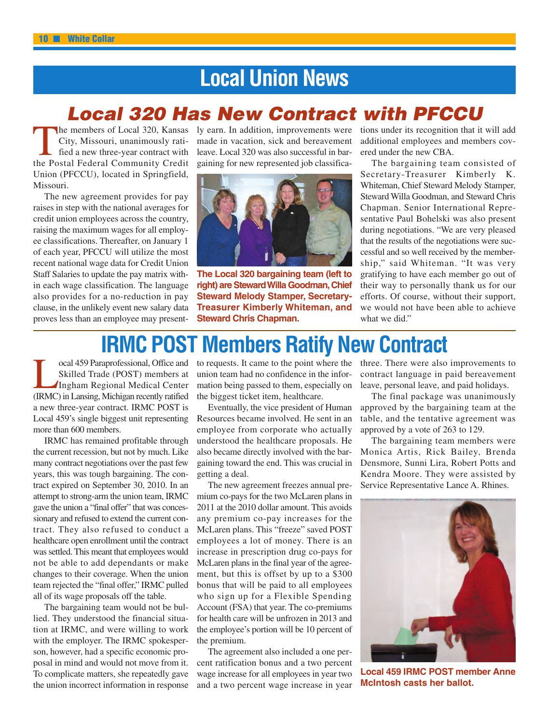# **Local Union News**

### *Local 320 Has New Contract with PFCCU*

The members of Local 320, Kansas City, Missouri, unanimously ratified a new three-year contract with the Postal Federal Community Credit Union (PFCCU), located in Springfield, Missouri.

The new agreement provides for pay raises in step with the national averages for credit union employees across the country, raising the maximum wages for all employee classifications. Thereafter, on January 1 of each year, PFCCU will utilize the most recent national wage data for Credit Union Staff Salaries to update the pay matrix within each wage classification. The language also provides for a no-reduction in pay clause, in the unlikely event new salary data proves less than an employee may presently earn. In addition, improvements were made in vacation, sick and bereavement leave. Local 320 was also successful in bargaining for new represented job classifica-



**The Local 320 bargaining team (left to right) are StewardWilla Goodman,Chief Steward Melody Stamper, Secretary-Treasurer Kimberly Whiteman, and Steward Chris Chapman.**

tions under its recognition that it will add additional employees and members covered under the new CBA.

The bargaining team consisted of Secretary-Treasurer Kimberly K. Whiteman, Chief Steward Melody Stamper, Steward Willa Goodman, and Steward Chris Chapman. Senior International Representative Paul Bohelski was also present during negotiations. "We are very pleased that the results of the negotiations were successful and so well received by the membership," said Whiteman. "It was very gratifying to have each member go out of their way to personally thank us for our efforts. Of course, without their support, we would not have been able to achieve what we did."

## **IRMC POST Members Ratify New Contract**

**Local 459 Paraprofessional, Office and<br>Skilled Trade (POST) members at<br>Ingham Regional Medical Center<br>(IRMC) in Lansing Michigan recently ratified** Skilled Trade (POST) members at Ingham Regional Medical Center (IRMC) in Lansing, Michigan recently ratified a new three-year contract. IRMC POST is Local 459's single biggest unit representing more than 600 members.

IRMC has remained profitable through the current recession, but not by much. Like many contract negotiations over the past few years, this was tough bargaining. The contract expired on September 30, 2010. In an attempt to strong-arm the union team, IRMC gave the union a "final offer" that was concessionary and refused to extend the current contract. They also refused to conduct a healthcare open enrollment until the contract was settled. This meant that employees would not be able to add dependants or make changes to their coverage. When the union team rejected the "final offer," IRMC pulled all of its wage proposals off the table.

The bargaining team would not be bullied. They understood the financial situation at IRMC, and were willing to work with the employer. The IRMC spokesperson, however, had a specific economic proposal in mind and would not move from it. To complicate matters, she repeatedly gave the union incorrect information in response

to requests. It came to the point where the union team had no confidence in the information being passed to them, especially on the biggest ticket item, healthcare.

Eventually, the vice president of Human Resources became involved. He sent in an employee from corporate who actually understood the healthcare proposals. He also became directly involved with the bargaining toward the end. This was crucial in getting a deal.

The new agreement freezes annual premium co-pays for the two McLaren plans in 2011 at the 2010 dollar amount. This avoids any premium co-pay increases for the McLaren plans. This "freeze" saved POST employees a lot of money. There is an increase in prescription drug co-pays for McLaren plans in the final year of the agreement, but this is offset by up to a \$300 bonus that will be paid to all employees who sign up for a Flexible Spending Account (FSA) that year. The co-premiums for health care will be unfrozen in 2013 and the employee's portion will be 10 percent of the premium.

The agreement also included a one percent ratification bonus and a two percent wage increase for all employees in year two and a two percent wage increase in year

three. There were also improvements to contract language in paid bereavement leave, personal leave, and paid holidays.

The final package was unanimously approved by the bargaining team at the table, and the tentative agreement was approved by a vote of 263 to 129.

The bargaining team members were Monica Artis, Rick Bailey, Brenda Densmore, Sunni Lira, Robert Potts and Kendra Moore. They were assisted by Service Representative Lance A. Rhines.



**Local 459 IRMC POST member Anne McIntosh casts her ballot.**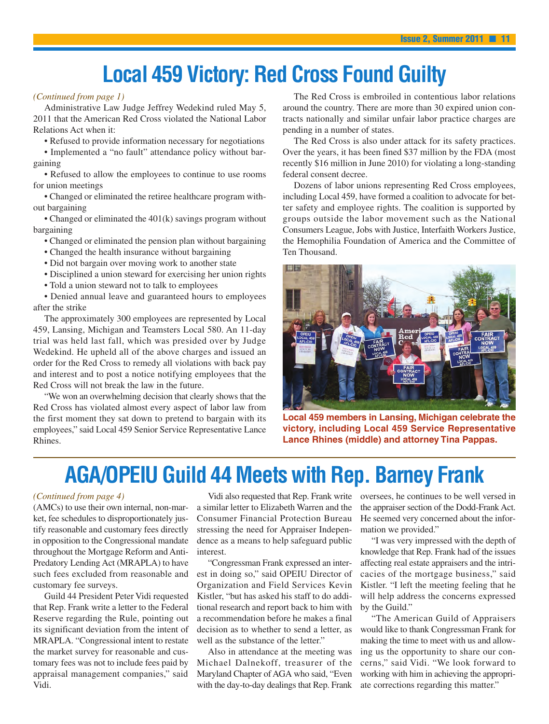# **Local 459 Victory: Red Cross Found Guilty**

#### *(Continued from page 1)*

Administrative Law Judge Jeffrey Wedekind ruled May 5, 2011 that the American Red Cross violated the National Labor Relations Act when it:

• Refused to provide information necessary for negotiations

• Implemented a "no fault" attendance policy without bargaining

• Refused to allow the employees to continue to use rooms for union meetings

• Changed or eliminated the retiree healthcare program without bargaining

• Changed or eliminated the 401(k) savings program without bargaining

• Changed or eliminated the pension plan without bargaining

• Changed the health insurance without bargaining

• Did not bargain over moving work to another state

• Disciplined a union steward for exercising her union rights

• Told a union steward not to talk to employees

• Denied annual leave and guaranteed hours to employees after the strike

The approximately 300 employees are represented by Local 459, Lansing, Michigan and Teamsters Local 580. An 11-day trial was held last fall, which was presided over by Judge Wedekind. He upheld all of the above charges and issued an order for the Red Cross to remedy all violations with back pay and interest and to post a notice notifying employees that the Red Cross will not break the law in the future.

"We won an overwhelming decision that clearly shows that the Red Cross has violated almost every aspect of labor law from the first moment they sat down to pretend to bargain with its employees," said Local 459 Senior Service Representative Lance Rhines.

The Red Cross is embroiled in contentious labor relations around the country. There are more than 30 expired union contracts nationally and similar unfair labor practice charges are pending in a number of states.

The Red Cross is also under attack for its safety practices. Over the years, it has been fined \$37 million by the FDA (most recently \$16 million in June 2010) for violating a long-standing federal consent decree.

Dozens of labor unions representing Red Cross employees, including Local 459, have formed a coalition to advocate for better safety and employee rights. The coalition is supported by groups outside the labor movement such as the National Consumers League, Jobs with Justice, Interfaith Workers Justice, the Hemophilia Foundation of America and the Committee of Ten Thousand.



**Local 459 members in Lansing, Michigan celebrate the victory, including Local 459 Service Representative Lance Rhines (middle) and attorney Tina Pappas.**

## **AGA/OPEIU Guild 44 Meets with Rep. Barney Frank**

#### *(Continued from page 4)*

(AMCs) to use their own internal, non-market, fee schedules to disproportionately justify reasonable and customary fees directly in opposition to the Congressional mandate throughout the Mortgage Reform and Anti-Predatory Lending Act (MRAPLA) to have such fees excluded from reasonable and customary fee surveys.

Guild 44 President Peter Vidi requested that Rep. Frank write a letter to the Federal Reserve regarding the Rule, pointing out its significant deviation from the intent of MRAPLA. "Congressional intent to restate the market survey for reasonable and customary fees was not to include fees paid by appraisal management companies," said Vidi.

a similar letter to Elizabeth Warren and the Consumer Financial Protection Bureau stressing the need for Appraiser Independence as a means to help safeguard public interest.

"Congressman Frank expressed an interest in doing so," said OPEIU Director of Organization and Field Services Kevin Kistler, "but has asked his staff to do additional research and report back to him with a recommendation before he makes a final decision as to whether to send a letter, as well as the substance of the letter."

Also in attendance at the meeting was Michael Dalnekoff, treasurer of the Maryland Chapter of AGA who said, "Even with the day-to-day dealings that Rep. Frank

Vidi also requested that Rep. Frank write oversees, he continues to be well versed in the appraiser section of the Dodd-Frank Act. He seemed very concerned about the information we provided."

> "I was very impressed with the depth of knowledge that Rep. Frank had of the issues affecting real estate appraisers and the intricacies of the mortgage business," said Kistler. "I left the meeting feeling that he will help address the concerns expressed by the Guild."

> "The American Guild of Appraisers would like to thank Congressman Frank for making the time to meet with us and allowing us the opportunity to share our concerns," said Vidi. "We look forward to working with him in achieving the appropriate corrections regarding this matter."